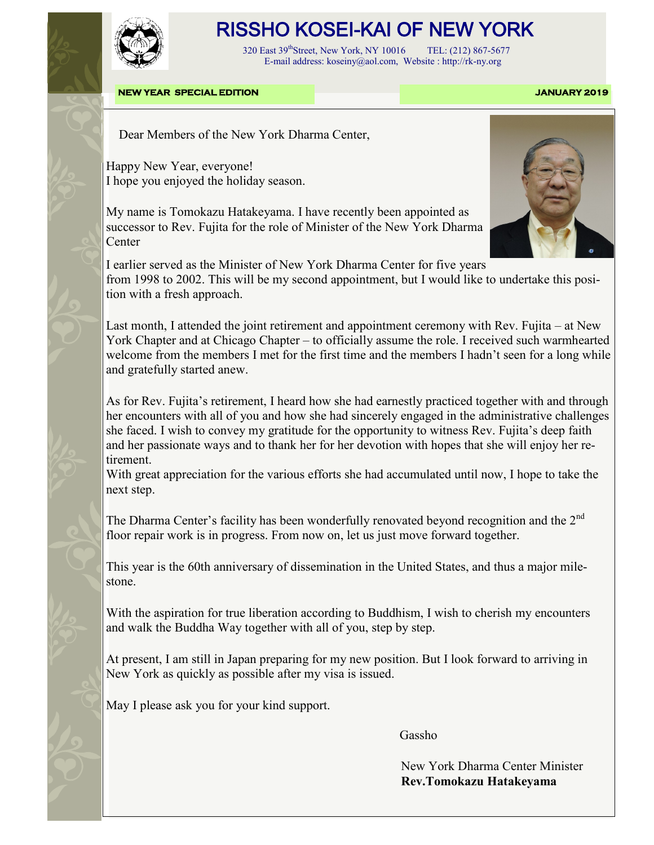

## RISSHO KOSEI-KAI OF NEW YORK

 320 East 39thStreet, New York, NY 10016 TEL: (212) 867-5677 E-mail address: koseiny@aol.com, Website : http://rk-ny.org

**NEW YEAR SPECIAL EDITION JANUARY 2019** 

Dear Members of the New York Dharma Center,

Happy New Year, everyone! I hope you enjoyed the holiday season.

My name is Tomokazu Hatakeyama. I have recently been appointed as successor to Rev. Fujita for the role of Minister of the New York Dharma Center



I earlier served as the Minister of New York Dharma Center for five years from 1998 to 2002. This will be my second appointment, but I would like to undertake this position with a fresh approach.

Last month, I attended the joint retirement and appointment ceremony with Rev. Fujita – at New York Chapter and at Chicago Chapter – to officially assume the role. I received such warmhearted welcome from the members I met for the first time and the members I hadn't seen for a long while and gratefully started anew.

As for Rev. Fujita's retirement, I heard how she had earnestly practiced together with and through her encounters with all of you and how she had sincerely engaged in the administrative challenges she faced. I wish to convey my gratitude for the opportunity to witness Rev. Fujita's deep faith and her passionate ways and to thank her for her devotion with hopes that she will enjoy her retirement.

With great appreciation for the various efforts she had accumulated until now, I hope to take the next step.

The Dharma Center's facility has been wonderfully renovated beyond recognition and the  $2^{nd}$ floor repair work is in progress. From now on, let us just move forward together.

This year is the 60th anniversary of dissemination in the United States, and thus a major milestone.

With the aspiration for true liberation according to Buddhism, I wish to cherish my encounters and walk the Buddha Way together with all of you, step by step.

At present, I am still in Japan preparing for my new position. But I look forward to arriving in New York as quickly as possible after my visa is issued.

May I please ask you for your kind support.

Gasshop Contract of the Contract of the Contract of the Gasshop Cass

 New York Dharma Center Minister **Rev.Tomokazu Hatakeyama**